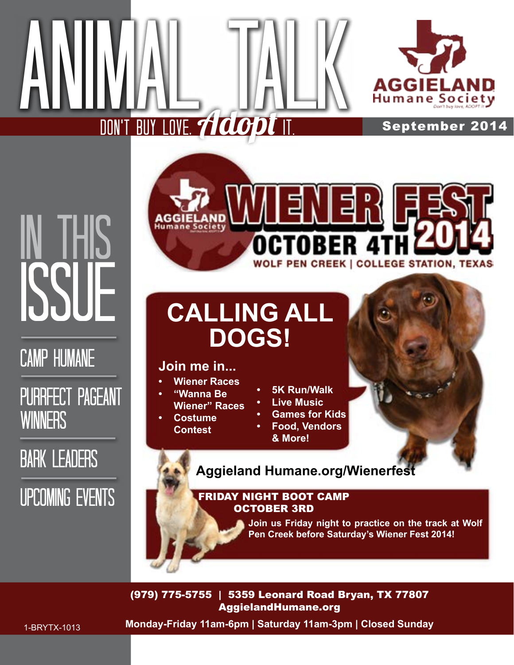

September 2014

## IN THIS ISSI

### Camp Humane

#### Purrfect Pageant **WINNERS**

### **BARK LEADERS**

### Upcoming Events

# **WOLF PEN CREEK | COLLEGE STATION, TEXAS**

## **CALLING ALL DOGS!**

#### **Join me in...**

DON'T BUY LOVE, **Aclo dt It.** 

Animal Talk

- **• Wiener Races**
- **• "Wanna Be Wiener" Races**
- **• Costume Contest**
- **• 5K Run/Walk**
- **• Live Music**
- **• Games for Kids**
- **• Food, Vendors & More!**



**Aggieland Humane.org/Wienerfest**

#### FRIDAY NIGHT BOOT CAMP OCTOBER 3RD

**Join us Friday night to practice on the track at Wolf Pen Creek before Saturday's Wiener Fest 2014!**

(979) 775-5755 | 5359 Leonard Road Bryan, TX 77807 AggielandHumane.org

**Monday-Friday 11am-6pm | Saturday 11am-3pm | Closed Sunday**

1-BRYTX-1013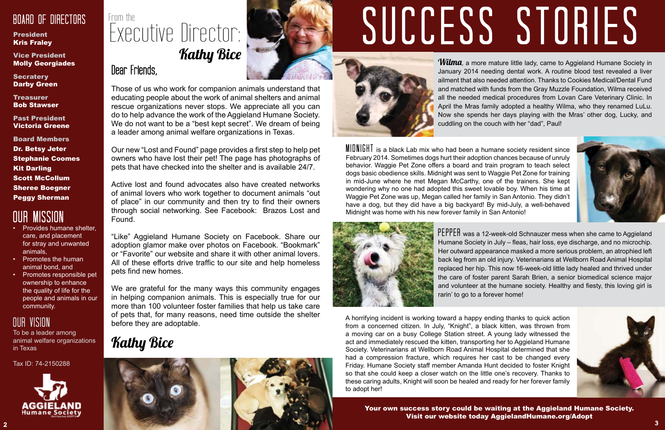#### Board of Directors

#### **President** Kris Fraley

**Secratery** Darby Green

Vice President Molly Georgiades

**Treasurer** Bob Stawser

## From the Executive Director: **Kathy Bice**

Past President Victoria Greene

Board Members Dr. Betsy Jeter Stephanie Coomes Kit Darling Scott McCollum Sheree Boegner Peggy Sherman

Dear Friends,

Our new "Lost and Found" page provides a first step to help pet owners who have lost their pet! The page has photographs of pets that have checked into the shelter and is available 24/7.

Those of us who work for companion animals understand that educating people about the work of animal shelters and animal rescue organizations never stops. We appreciate all you can do to help advance the work of the Aggieland Humane Society. We do not want to be a "best kept secret". We dream of being a leader among animal welfare organizations in Texas.

"Like" Aggieland Humane Society on Facebook. Share our adoption glamor make over photos on Facebook. "Bookmark" or "Favorite" our website and share it with other animal lovers. All of these efforts drive traffic to our site and help homeless pets find new homes.

Active lost and found advocates also have created networks of animal lovers who work together to document animals "out of place" in our community and then try to find their owners through social networking. See Facebook: Brazos Lost and Found.

**Wilma**, a more mature little lady, came to Aggieland Humane Society in January 2014 needing dental work. A routine blood test revealed a liver ailment that also needed attention. Thanks to Cookies Medical/Dental Fund and matched with funds from the Gray Muzzle Foundation, Wilma received all the needed medical procedures from Lovan Care Veterinary Clinic. In April the Mras family adopted a healthy Wilma, who they renamed LuLu. Now she spends her days playing with the Mras' other dog, Lucky, and cuddling on the couch with her "dad", Paul!

We are grateful for the many ways this community engages in helping companion animals. This is especially true for our more than 100 volunteer foster families that help us take care of pets that, for many reasons, need time outside the shelter before they are adoptable.

### **Kathy Bice**

#### Our Mission

- Provides humane shelter, care, and placement for stray and unwanted animals,
- Promotes the human animal bond, and
- Promotes responsible pet ownership to enhance the quality of life for the people and animals in our community.

#### Our Vision

PEPPEH was a 12-week-old Schnauzer mess when she came to Aggieland Humane Society in July – fleas, hair loss, eye discharge, and no microchip. Her outward appearance masked a more serious problem, an atrophied left back leg from an old injury. Veterinarians at Wellborn Road Animal Hospital replaced her hip. This now 16-week-old little lady healed and thrived under the care of foster parent Sarah Brien, a senior biomedical science major and volunteer at the humane society. Healthy and fiesty, this loving girl is rarin' to go to a forever home!

To be a leader among animal welfare organizations in Texas

Tax ID: 74-2150288



 $MIDNIGHT$  is a black Lab mix who had been a humane society resident since February 2014. Sometimes dogs hurt their adoption chances because of unruly behavior. Waggie Pet Zone offers a board and train program to teach select dogs basic obedience skills. Midnight was sent to Waggie Pet Zone for training in mid-June where he met Megan McCarthy, one of the trainers. She kept wondering why no one had adopted this sweet lovable boy. When his time at Waggie Pet Zone was up, Megan called her family in San Antonio. They didn't have a dog, but they did have a big backyard! By mid-July, a well-behaved Midnight was home with his new forever family in San Antonio!



A horrifying incident is working toward a happy ending thanks to quick action from a concerned citizen. In July, "Knight", a black kitten, was thrown from a moving car on a busy College Station street. A young lady witnessed the act and immediately rescued the kitten, transporting her to Aggieland Humane Society. Veterinarians at Wellborn Road Animal Hospital determined that she had a compression fracture, which requires her cast to be changed every Friday. Humane Society staff member Amanda Hunt decided to foster Knight so that she could keep a closer watch on the little one's recovery. Thanks to these caring adults, Knight will soon be healed and ready for her forever family to adopt her!





## SUCCESS STORIES



Your own success story could be waiting at the Aggieland Humane Society. Visit our website today AggielandHumane.org/Adopt



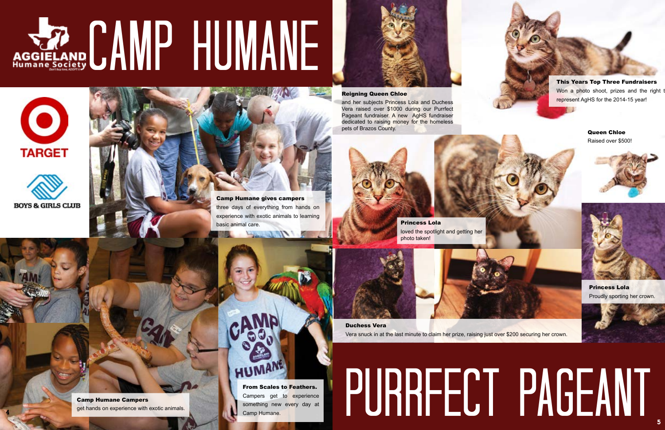#### Reigning Queen Chloe

and her subjects Princess Lola and Duchess Vera raised over \$1000 during our Purrfect Pageant fundraiser. A new AgHS fundraiser dedicated to raising money for the homeless pets of Brazos County.

This Years Top Three Fundraisers Won a photo shoot, prizes and the right t represent AgHS for the 2014-15 year!



Princess Lola Proudly sporting her crown.



Duchess Vera Vera snuck in at the last minute to claim her prize, raising just over \$200 securing her crown.

## PURRFECT PAGEANT

#### Queen Chloe Raised over \$500!





Princess Lola loved the spotlight and getting her photo taken!

Camp Humane Campers get hands on experience with exotic animals.

# AGGIELAND CAMP HUMANE









Camp Humane gives campers three days of everything from hands on experience with exotic animals to learning basic animal care.



From Scales to Feathers. Campers get to experience something new every day at Camp Humane.

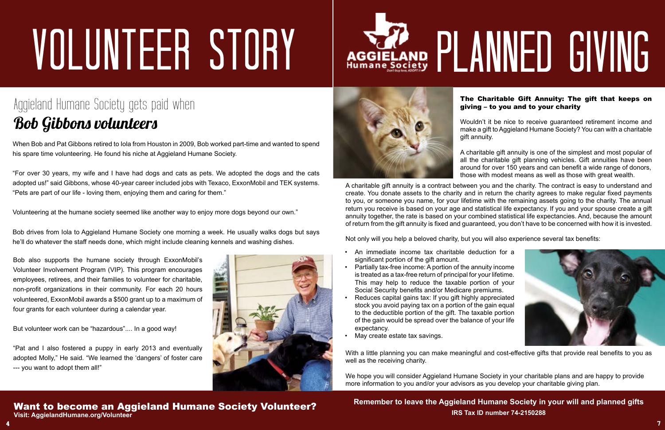#### The Charitable Gift Annuity: The gift that keeps on giving – to you and to your charity



Wouldn't it be nice to receive guaranteed retirement income and make a gift to Aggieland Humane Society? You can with a charitable gift annuity.

A charitable gift annuity is a contract between you and the charity. The contract is easy to understand and create. You donate assets to the charity and in return the charity agrees to make regular fixed payments to you, or someone you name, for your lifetime with the remaining assets going to the charity. The annual return you receive is based on your age and statistical life expectancy. If you and your spouse create a gift annuity together, the rate is based on your combined statistical life expectancies. And, because the amount of return from the gift annuity is fixed and guaranteed, you don't have to be concerned with how it is invested.

Not only will you help a beloved charity, but you will also experience several tax benefits:

A charitable gift annuity is one of the simplest and most popular of all the charitable gift planning vehicles. Gift annuities have been around for over 150 years and can benefit a wide range of donors, those with modest means as well as those with great wealth.

- An immediate income tax charitable deduction for a significant portion of the gift amount.
- Partially tax-free income: A portion of the annuity income is treated as a tax-free return of principal for your lifetime. This may help to reduce the taxable portion of your Social Security benefits and/or Medicare premiums.
- Reduces capital gains tax: If you gift highly appreciated stock you avoid paying tax on a portion of the gain equal to the deductible portion of the gift. The taxable portion of the gain would be spread over the balance of your life expectancy.
- May create estate tax savings.

With a little planning you can make meaningful and cost-effective gifts that provide real benefits to you as well as the receiving charity.

6

**Remember to leave the Aggieland Humane Society in your will and planned gifts IRS Tax ID number 74-2150288**

When Bob and Pat Gibbons retired to Iola from Houston in 2009, Bob worked part-time and wanted to spend his spare time volunteering. He found his niche at Aggieland Humane Society.

"For over 30 years, my wife and I have had dogs and cats as pets. We adopted the dogs and the cats adopted us!" said Gibbons, whose 40-year career included jobs with Texaco, ExxonMobil and TEK systems. "Pets are part of our life - loving them, enjoying them and caring for them."

Volunteering at the humane society seemed like another way to enjoy more dogs beyond our own."

Bob drives from Iola to Aggieland Humane Society one morning a week. He usually walks dogs but says he'll do whatever the staff needs done, which might include cleaning kennels and washing dishes.

Bob also supports the humane society through ExxonMobil's Volunteer Involvement Program (VIP). This program encourages employees, retirees, and their families to volunteer for charitable, non-profit organizations in their community. For each 20 hours volunteered, ExxonMobil awards a \$500 grant up to a maximum of four grants for each volunteer during a calendar year.

But volunteer work can be "hazardous".... In a good way!

"Pat and I also fostered a puppy in early 2013 and eventually adopted Molly," He said. "We learned the 'dangers' of foster care --- you want to adopt them all!"









## VOLUNTEER STORY

### Aggieland Humane Society gets paid when Bob Gibbons volunteers

4

## AGGIELAND PLANNED GIVING

#### Want to become an Aggieland Humane Society Volunteer? **Visit: AggielandHumane.org/Volunteer**

We hope you will consider Aggieland Humane Society in your charitable plans and are happy to provide more information to you and/or your advisors as you develop your charitable giving plan.